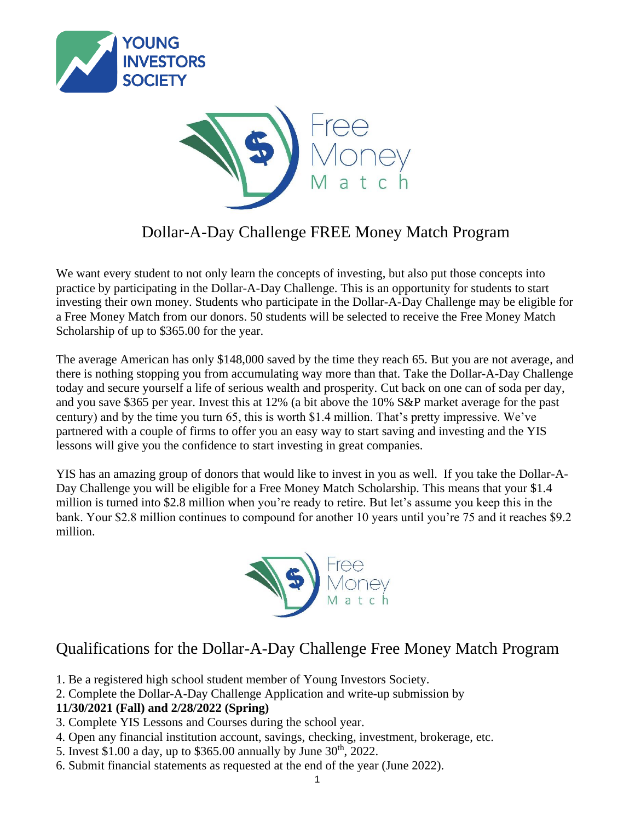



## Dollar-A-Day Challenge FREE Money Match Program

We want every student to not only learn the concepts of investing, but also put those concepts into practice by participating in the Dollar-A-Day Challenge. This is an opportunity for students to start investing their own money. Students who participate in the Dollar-A-Day Challenge may be eligible for a Free Money Match from our donors. 50 students will be selected to receive the Free Money Match Scholarship of up to \$365.00 for the year.

The average American has only \$148,000 saved by the time they reach 65. But you are not average, and there is nothing stopping you from accumulating way more than that. Take the Dollar-A-Day Challenge today and secure yourself a life of serious wealth and prosperity. Cut back on one can of soda per day, and you save \$365 per year. Invest this at 12% (a bit above the 10% S&P market average for the past century) and by the time you turn 65, this is worth \$1.4 million. That's pretty impressive. We've partnered with a couple of firms to offer you an easy way to start saving and investing and the YIS lessons will give you the confidence to start investing in great companies.

YIS has an amazing group of donors that would like to invest in you as well. If you take the Dollar-A-Day Challenge you will be eligible for a Free Money Match Scholarship. This means that your \$1.4 million is turned into \$2.8 million when you're ready to retire. But let's assume you keep this in the bank. Your \$2.8 million continues to compound for another 10 years until you're 75 and it reaches \$9.2 million.



## Qualifications for the Dollar-A-Day Challenge Free Money Match Program

- 1. Be a registered high school student member of Young Investors Society.
- 2. Complete the Dollar-A-Day Challenge Application and write-up submission by

#### **11/30/2021 (Fall) and 2/28/2022 (Spring)**

- 3. Complete YIS Lessons and Courses during the school year.
- 4. Open any financial institution account, savings, checking, investment, brokerage, etc.
- 5. Invest \$1.00 a day, up to \$365.00 annually by June  $30^{th}$ , 2022.
- 6. Submit financial statements as requested at the end of the year (June 2022).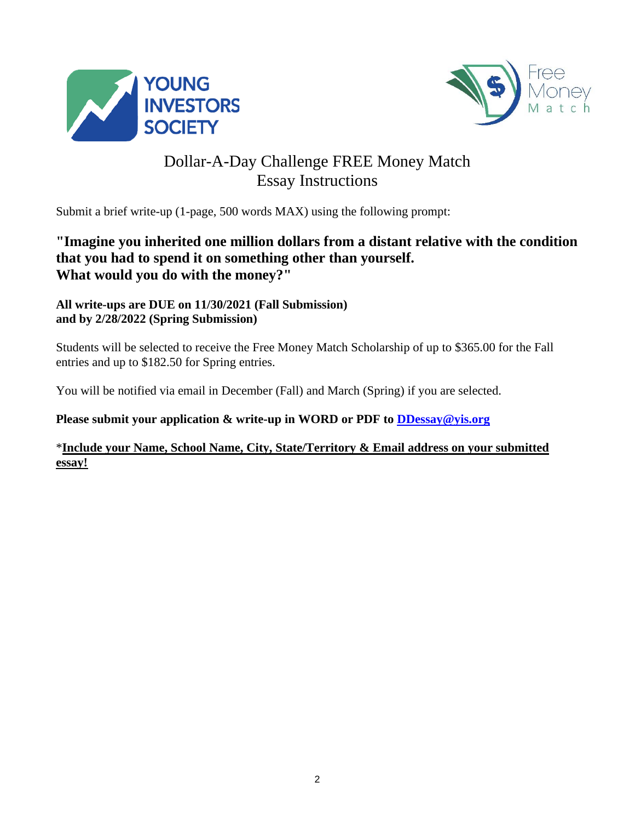



## Dollar-A-Day Challenge FREE Money Match Essay Instructions

Submit a brief write-up (1-page, 500 words MAX) using the following prompt:

### **"Imagine you inherited one million dollars from a distant relative with the condition that you had to spend it on something other than yourself. What would you do with the money?"**

### **All write-ups are DUE on 11/30/2021 (Fall Submission) and by 2/28/2022 (Spring Submission)**

Students will be selected to receive the Free Money Match Scholarship of up to \$365.00 for the Fall entries and up to \$182.50 for Spring entries.

You will be notified via email in December (Fall) and March (Spring) if you are selected.

**Please submit your application & write-up in WORD or PDF to DDessay@yis.org**

#### \***Include your Name, School Name, City, State/Territory & Email address on your submitted essay!**